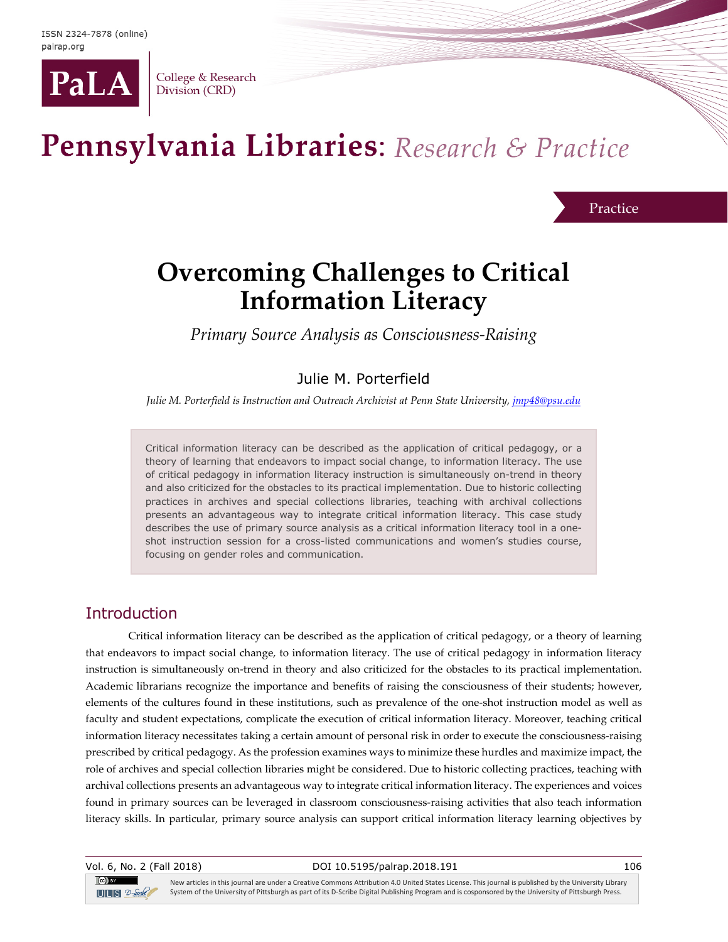

College & Research Division (CRD)

# Pennsylvania Libraries: Research & Practice

Practice

## **Overcoming Challenges to Critical Information Literacy**

*Primary Source Analysis as Consciousness-Raising*

#### Julie M. Porterfield

*Julie M. Porterfield is Instruction and Outreach Archivist at Penn State University, [jmp48@psu.edu](mailto:jmp48@psu.edu)*

Critical information literacy can be described as the application of critical pedagogy, or a theory of learning that endeavors to impact social change, to information literacy. The use of critical pedagogy in information literacy instruction is simultaneously on-trend in theory and also criticized for the obstacles to its practical implementation. Due to historic collecting practices in archives and special collections libraries, teaching with archival collections presents an advantageous way to integrate critical information literacy. This case study describes the use of primary source analysis as a critical information literacy tool in a oneshot instruction session for a cross-listed communications and women's studies course, focusing on gender roles and communication.

#### Introduction

 $(cc)$  by

Critical information literacy can be described as the application of critical pedagogy, or a theory of learning that endeavors to impact social change, to information literacy. The use of critical pedagogy in information literacy instruction is simultaneously on-trend in theory and also criticized for the obstacles to its practical implementation. Academic librarians recognize the importance and benefits of raising the consciousness of their students; however, elements of the cultures found in these institutions, such as prevalence of the one-shot instruction model as well as faculty and student expectations, complicate the execution of critical information literacy. Moreover, teaching critical information literacy necessitates taking a certain amount of personal risk in order to execute the consciousness-raising prescribed by critical pedagogy. As the profession examines ways to minimize these hurdles and maximize impact, the role of archives and special collection libraries might be considered. Due to historic collecting practices, teaching with archival collections presents an advantageous way to integrate critical information literacy. The experiences and voices found in primary sources can be leveraged in classroom consciousness-raising activities that also teach information literacy skills. In particular, primary source analysis can support critical information literacy learning objectives by

Vol. 6, No. 2 (Fall 2018) DOI 10.5195/palrap.2018.191 106

New articles in this journal are under a Creative Commons Attribution 4.0 United States License. This journal is published by the University Library System of the University of Pittsburgh as part of its D-Scribe Digital Publishing Program and is cosponsored by the University of Pittsburgh Press.  $T = S$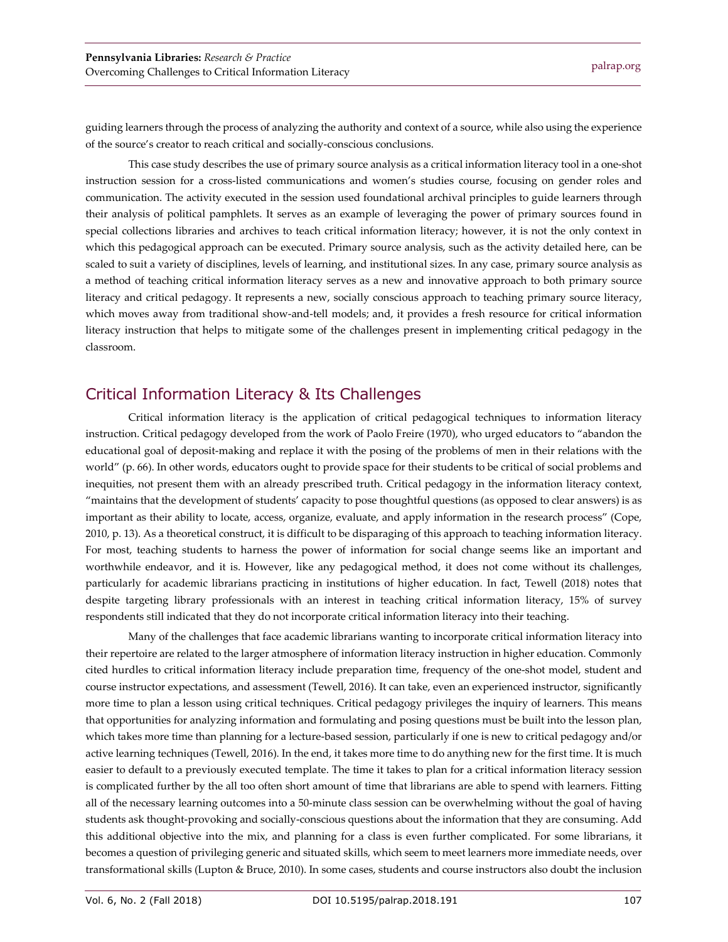guiding learners through the process of analyzing the authority and context of a source, while also using the experience of the source's creator to reach critical and socially-conscious conclusions.

This case study describes the use of primary source analysis as a critical information literacy tool in a one-shot instruction session for a cross-listed communications and women's studies course, focusing on gender roles and communication. The activity executed in the session used foundational archival principles to guide learners through their analysis of political pamphlets. It serves as an example of leveraging the power of primary sources found in special collections libraries and archives to teach critical information literacy; however, it is not the only context in which this pedagogical approach can be executed. Primary source analysis, such as the activity detailed here, can be scaled to suit a variety of disciplines, levels of learning, and institutional sizes. In any case, primary source analysis as a method of teaching critical information literacy serves as a new and innovative approach to both primary source literacy and critical pedagogy. It represents a new, socially conscious approach to teaching primary source literacy, which moves away from traditional show-and-tell models; and, it provides a fresh resource for critical information literacy instruction that helps to mitigate some of the challenges present in implementing critical pedagogy in the classroom.

#### Critical Information Literacy & Its Challenges

Critical information literacy is the application of critical pedagogical techniques to information literacy instruction. Critical pedagogy developed from the work of Paolo Freire (1970), who urged educators to "abandon the educational goal of deposit-making and replace it with the posing of the problems of men in their relations with the world" (p. 66). In other words, educators ought to provide space for their students to be critical of social problems and inequities, not present them with an already prescribed truth. Critical pedagogy in the information literacy context, "maintains that the development of students' capacity to pose thoughtful questions (as opposed to clear answers) is as important as their ability to locate, access, organize, evaluate, and apply information in the research process" (Cope, 2010, p. 13). As a theoretical construct, it is difficult to be disparaging of this approach to teaching information literacy. For most, teaching students to harness the power of information for social change seems like an important and worthwhile endeavor, and it is. However, like any pedagogical method, it does not come without its challenges, particularly for academic librarians practicing in institutions of higher education. In fact, Tewell (2018) notes that despite targeting library professionals with an interest in teaching critical information literacy, 15% of survey respondents still indicated that they do not incorporate critical information literacy into their teaching.

Many of the challenges that face academic librarians wanting to incorporate critical information literacy into their repertoire are related to the larger atmosphere of information literacy instruction in higher education. Commonly cited hurdles to critical information literacy include preparation time, frequency of the one-shot model, student and course instructor expectations, and assessment (Tewell, 2016). It can take, even an experienced instructor, significantly more time to plan a lesson using critical techniques. Critical pedagogy privileges the inquiry of learners. This means that opportunities for analyzing information and formulating and posing questions must be built into the lesson plan, which takes more time than planning for a lecture-based session, particularly if one is new to critical pedagogy and/or active learning techniques (Tewell, 2016). In the end, it takes more time to do anything new for the first time. It is much easier to default to a previously executed template. The time it takes to plan for a critical information literacy session is complicated further by the all too often short amount of time that librarians are able to spend with learners. Fitting all of the necessary learning outcomes into a 50-minute class session can be overwhelming without the goal of having students ask thought-provoking and socially-conscious questions about the information that they are consuming. Add this additional objective into the mix, and planning for a class is even further complicated. For some librarians, it becomes a question of privileging generic and situated skills, which seem to meet learners more immediate needs, over transformational skills (Lupton & Bruce, 2010). In some cases, students and course instructors also doubt the inclusion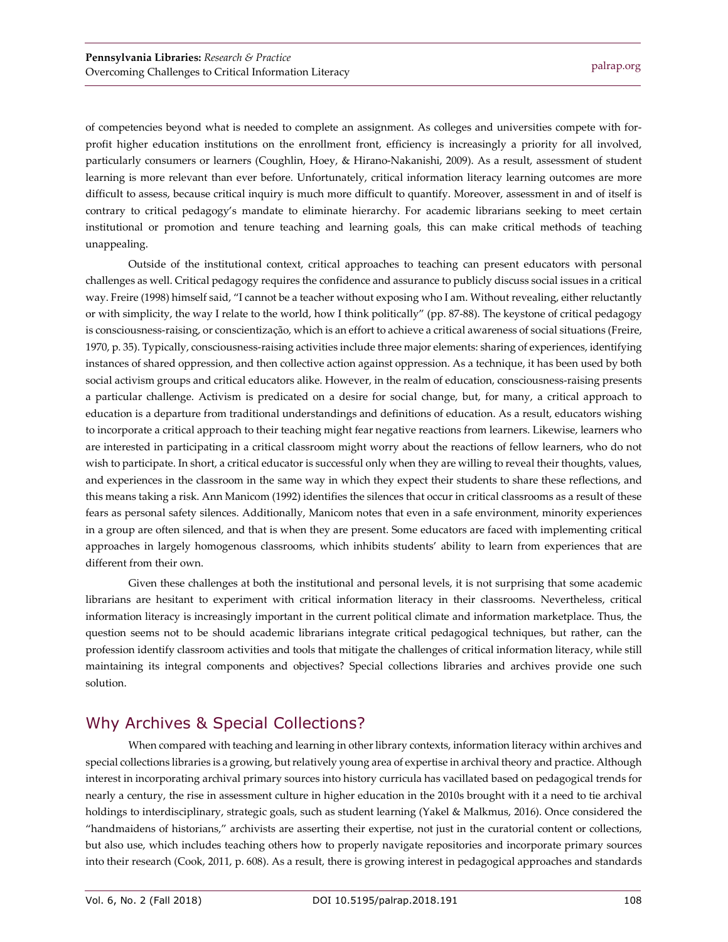of competencies beyond what is needed to complete an assignment. As colleges and universities compete with forprofit higher education institutions on the enrollment front, efficiency is increasingly a priority for all involved, particularly consumers or learners (Coughlin, Hoey, & Hirano-Nakanishi, 2009). As a result, assessment of student learning is more relevant than ever before. Unfortunately, critical information literacy learning outcomes are more difficult to assess, because critical inquiry is much more difficult to quantify. Moreover, assessment in and of itself is contrary to critical pedagogy's mandate to eliminate hierarchy. For academic librarians seeking to meet certain institutional or promotion and tenure teaching and learning goals, this can make critical methods of teaching unappealing.

Outside of the institutional context, critical approaches to teaching can present educators with personal challenges as well. Critical pedagogy requires the confidence and assurance to publicly discuss social issues in a critical way. Freire (1998) himself said, "I cannot be a teacher without exposing who I am. Without revealing, either reluctantly or with simplicity, the way I relate to the world, how I think politically" (pp. 87-88). The keystone of critical pedagogy is consciousness-raising, or conscientização, which is an effort to achieve a critical awareness of social situations (Freire, 1970, p. 35). Typically, consciousness-raising activities include three major elements: sharing of experiences, identifying instances of shared oppression, and then collective action against oppression. As a technique, it has been used by both social activism groups and critical educators alike. However, in the realm of education, consciousness-raising presents a particular challenge. Activism is predicated on a desire for social change, but, for many, a critical approach to education is a departure from traditional understandings and definitions of education. As a result, educators wishing to incorporate a critical approach to their teaching might fear negative reactions from learners. Likewise, learners who are interested in participating in a critical classroom might worry about the reactions of fellow learners, who do not wish to participate. In short, a critical educator is successful only when they are willing to reveal their thoughts, values, and experiences in the classroom in the same way in which they expect their students to share these reflections, and this means taking a risk. Ann Manicom (1992) identifies the silences that occur in critical classrooms as a result of these fears as personal safety silences. Additionally, Manicom notes that even in a safe environment, minority experiences in a group are often silenced, and that is when they are present. Some educators are faced with implementing critical approaches in largely homogenous classrooms, which inhibits students' ability to learn from experiences that are different from their own.

Given these challenges at both the institutional and personal levels, it is not surprising that some academic librarians are hesitant to experiment with critical information literacy in their classrooms. Nevertheless, critical information literacy is increasingly important in the current political climate and information marketplace. Thus, the question seems not to be should academic librarians integrate critical pedagogical techniques, but rather, can the profession identify classroom activities and tools that mitigate the challenges of critical information literacy, while still maintaining its integral components and objectives? Special collections libraries and archives provide one such solution.

#### Why Archives & Special Collections?

When compared with teaching and learning in other library contexts, information literacy within archives and special collections libraries is a growing, but relatively young area of expertise in archival theory and practice. Although interest in incorporating archival primary sources into history curricula has vacillated based on pedagogical trends for nearly a century, the rise in assessment culture in higher education in the 2010s brought with it a need to tie archival holdings to interdisciplinary, strategic goals, such as student learning (Yakel & Malkmus, 2016). Once considered the "handmaidens of historians," archivists are asserting their expertise, not just in the curatorial content or collections, but also use, which includes teaching others how to properly navigate repositories and incorporate primary sources into their research (Cook, 2011, p. 608). As a result, there is growing interest in pedagogical approaches and standards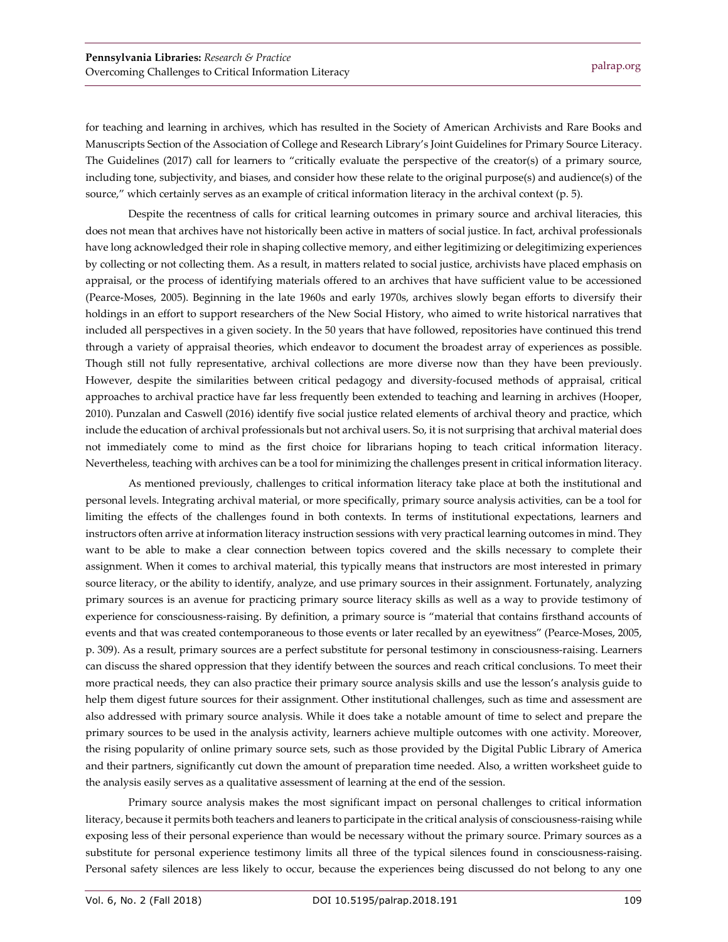for teaching and learning in archives, which has resulted in the Society of American Archivists and Rare Books and Manuscripts Section of the Association of College and Research Library's Joint Guidelines for Primary Source Literacy. The Guidelines (2017) call for learners to "critically evaluate the perspective of the creator(s) of a primary source, including tone, subjectivity, and biases, and consider how these relate to the original purpose(s) and audience(s) of the source," which certainly serves as an example of critical information literacy in the archival context (p. 5).

Despite the recentness of calls for critical learning outcomes in primary source and archival literacies, this does not mean that archives have not historically been active in matters of social justice. In fact, archival professionals have long acknowledged their role in shaping collective memory, and either legitimizing or delegitimizing experiences by collecting or not collecting them. As a result, in matters related to social justice, archivists have placed emphasis on appraisal, or the process of identifying materials offered to an archives that have sufficient value to be accessioned (Pearce-Moses, 2005). Beginning in the late 1960s and early 1970s, archives slowly began efforts to diversify their holdings in an effort to support researchers of the New Social History, who aimed to write historical narratives that included all perspectives in a given society. In the 50 years that have followed, repositories have continued this trend through a variety of appraisal theories, which endeavor to document the broadest array of experiences as possible. Though still not fully representative, archival collections are more diverse now than they have been previously. However, despite the similarities between critical pedagogy and diversity-focused methods of appraisal, critical approaches to archival practice have far less frequently been extended to teaching and learning in archives (Hooper, 2010). Punzalan and Caswell (2016) identify five social justice related elements of archival theory and practice, which include the education of archival professionals but not archival users. So, it is not surprising that archival material does not immediately come to mind as the first choice for librarians hoping to teach critical information literacy. Nevertheless, teaching with archives can be a tool for minimizing the challenges present in critical information literacy.

As mentioned previously, challenges to critical information literacy take place at both the institutional and personal levels. Integrating archival material, or more specifically, primary source analysis activities, can be a tool for limiting the effects of the challenges found in both contexts. In terms of institutional expectations, learners and instructors often arrive at information literacy instruction sessions with very practical learning outcomes in mind. They want to be able to make a clear connection between topics covered and the skills necessary to complete their assignment. When it comes to archival material, this typically means that instructors are most interested in primary source literacy, or the ability to identify, analyze, and use primary sources in their assignment. Fortunately, analyzing primary sources is an avenue for practicing primary source literacy skills as well as a way to provide testimony of experience for consciousness-raising. By definition, a primary source is "material that contains firsthand accounts of events and that was created contemporaneous to those events or later recalled by an eyewitness" (Pearce-Moses, 2005, p. 309). As a result, primary sources are a perfect substitute for personal testimony in consciousness-raising. Learners can discuss the shared oppression that they identify between the sources and reach critical conclusions. To meet their more practical needs, they can also practice their primary source analysis skills and use the lesson's analysis guide to help them digest future sources for their assignment. Other institutional challenges, such as time and assessment are also addressed with primary source analysis. While it does take a notable amount of time to select and prepare the primary sources to be used in the analysis activity, learners achieve multiple outcomes with one activity. Moreover, the rising popularity of online primary source sets, such as those provided by the Digital Public Library of America and their partners, significantly cut down the amount of preparation time needed. Also, a written worksheet guide to the analysis easily serves as a qualitative assessment of learning at the end of the session.

Primary source analysis makes the most significant impact on personal challenges to critical information literacy, because it permits both teachers and leaners to participate in the critical analysis of consciousness-raising while exposing less of their personal experience than would be necessary without the primary source. Primary sources as a substitute for personal experience testimony limits all three of the typical silences found in consciousness-raising. Personal safety silences are less likely to occur, because the experiences being discussed do not belong to any one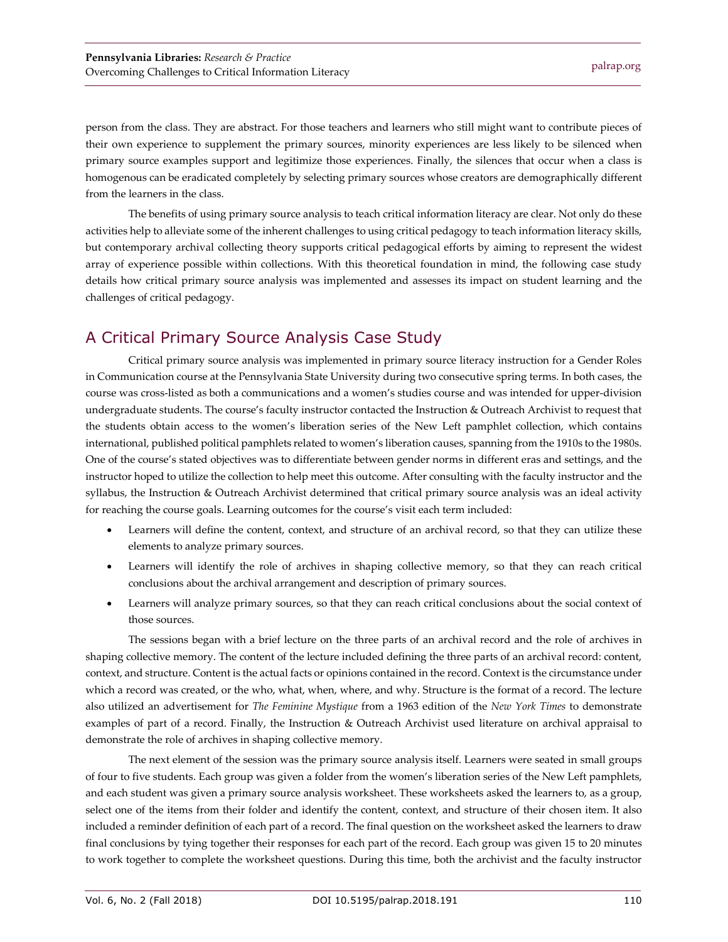person from the class. They are abstract. For those teachers and learners who still might want to contribute pieces of their own experience to supplement the primary sources, minority experiences are less likely to be silenced when primary source examples support and legitimize those experiences. Finally, the silences that occur when a class is homogenous can be eradicated completely by selecting primary sources whose creators are demographically different from the learners in the class.

The benefits of using primary source analysis to teach critical information literacy are clear. Not only do these activities help to alleviate some of the inherent challenges to using critical pedagogy to teach information literacy skills, but contemporary archival collecting theory supports critical pedagogical efforts by aiming to represent the widest array of experience possible within collections. With this theoretical foundation in mind, the following case study details how critical primary source analysis was implemented and assesses its impact on student learning and the challenges of critical pedagogy.

### A Critical Primary Source Analysis Case Study

Critical primary source analysis was implemented in primary source literacy instruction for a Gender Roles in Communication course at the Pennsylvania State University during two consecutive spring terms. In both cases, the course was cross-listed as both a communications and a women's studies course and was intended for upper-division undergraduate students. The course's faculty instructor contacted the Instruction & Outreach Archivist to request that the students obtain access to the women's liberation series of the New Left pamphlet collection, which contains international, published political pamphlets related to women's liberation causes, spanning from the 1910s to the 1980s. One of the course's stated objectives was to differentiate between gender norms in different eras and settings, and the instructor hoped to utilize the collection to help meet this outcome. After consulting with the faculty instructor and the syllabus, the Instruction & Outreach Archivist determined that critical primary source analysis was an ideal activity for reaching the course goals. Learning outcomes for the course's visit each term included:

- Learners will define the content, context, and structure of an archival record, so that they can utilize these elements to analyze primary sources.
- Learners will identify the role of archives in shaping collective memory, so that they can reach critical conclusions about the archival arrangement and description of primary sources.
- Learners will analyze primary sources, so that they can reach critical conclusions about the social context of those sources.

The sessions began with a brief lecture on the three parts of an archival record and the role of archives in shaping collective memory. The content of the lecture included defining the three parts of an archival record: content, context, and structure. Content is the actual facts or opinions contained in the record. Context is the circumstance under which a record was created, or the who, what, when, where, and why. Structure is the format of a record. The lecture also utilized an advertisement for *The Feminine Mystique* from a 1963 edition of the *New York Times* to demonstrate examples of part of a record. Finally, the Instruction & Outreach Archivist used literature on archival appraisal to demonstrate the role of archives in shaping collective memory.

The next element of the session was the primary source analysis itself. Learners were seated in small groups of four to five students. Each group was given a folder from the women's liberation series of the New Left pamphlets, and each student was given a primary source analysis worksheet. These worksheets asked the learners to, as a group, select one of the items from their folder and identify the content, context, and structure of their chosen item. It also included a reminder definition of each part of a record. The final question on the worksheet asked the learners to draw final conclusions by tying together their responses for each part of the record. Each group was given 15 to 20 minutes to work together to complete the worksheet questions. During this time, both the archivist and the faculty instructor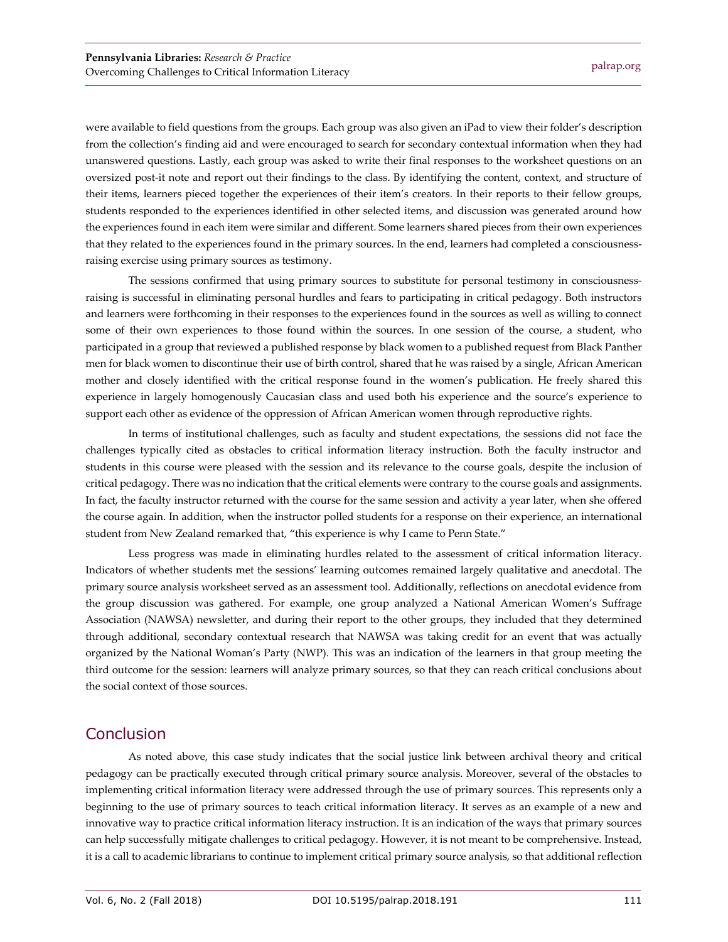were available to field questions from the groups. Each group was also given an iPad to view their folder's description from the collection's finding aid and were encouraged to search for secondary contextual information when they had unanswered questions. Lastly, each group was asked to write their final responses to the worksheet questions on an oversized post-it note and report out their findings to the class. By identifying the content, context, and structure of their items, learners pieced together the experiences of their item's creators. In their reports to their fellow groups, students responded to the experiences identified in other selected items, and discussion was generated around how the experiences found in each item were similar and different. Some learners shared pieces from their own experiences that they related to the experiences found in the primary sources. In the end, learners had completed a consciousnessraising exercise using primary sources as testimony.

The sessions confirmed that using primary sources to substitute for personal testimony in consciousnessraising is successful in eliminating personal hurdles and fears to participating in critical pedagogy. Both instructors and learners were forthcoming in their responses to the experiences found in the sources as well as willing to connect some of their own experiences to those found within the sources. In one session of the course, a student, who participated in a group that reviewed a published response by black women to a published request from Black Panther men for black women to discontinue their use of birth control, shared that he was raised by a single, African American mother and closely identified with the critical response found in the women's publication. He freely shared this experience in largely homogenously Caucasian class and used both his experience and the source's experience to support each other as evidence of the oppression of African American women through reproductive rights.

In terms of institutional challenges, such as faculty and student expectations, the sessions did not face the challenges typically cited as obstacles to critical information literacy instruction. Both the faculty instructor and students in this course were pleased with the session and its relevance to the course goals, despite the inclusion of critical pedagogy. There was no indication that the critical elements were contrary to the course goals and assignments. In fact, the faculty instructor returned with the course for the same session and activity a year later, when she offered the course again. In addition, when the instructor polled students for a response on their experience, an international student from New Zealand remarked that, "this experience is why I came to Penn State."

Less progress was made in eliminating hurdles related to the assessment of critical information literacy. Indicators of whether students met the sessions' learning outcomes remained largely qualitative and anecdotal. The primary source analysis worksheet served as an assessment tool. Additionally, reflections on anecdotal evidence from the group discussion was gathered. For example, one group analyzed a National American Women's Suffrage Association (NAWSA) newsletter, and during their report to the other groups, they included that they determined through additional, secondary contextual research that NAWSA was taking credit for an event that was actually organized by the National Woman's Party (NWP). This was an indication of the learners in that group meeting the third outcome for the session: learners will analyze primary sources, so that they can reach critical conclusions about the social context of those sources.

#### **Conclusion**

As noted above, this case study indicates that the social justice link between archival theory and critical pedagogy can be practically executed through critical primary source analysis. Moreover, several of the obstacles to implementing critical information literacy were addressed through the use of primary sources. This represents only a beginning to the use of primary sources to teach critical information literacy. It serves as an example of a new and innovative way to practice critical information literacy instruction. It is an indication of the ways that primary sources can help successfully mitigate challenges to critical pedagogy. However, it is not meant to be comprehensive. Instead, it is a call to academic librarians to continue to implement critical primary source analysis, so that additional reflection